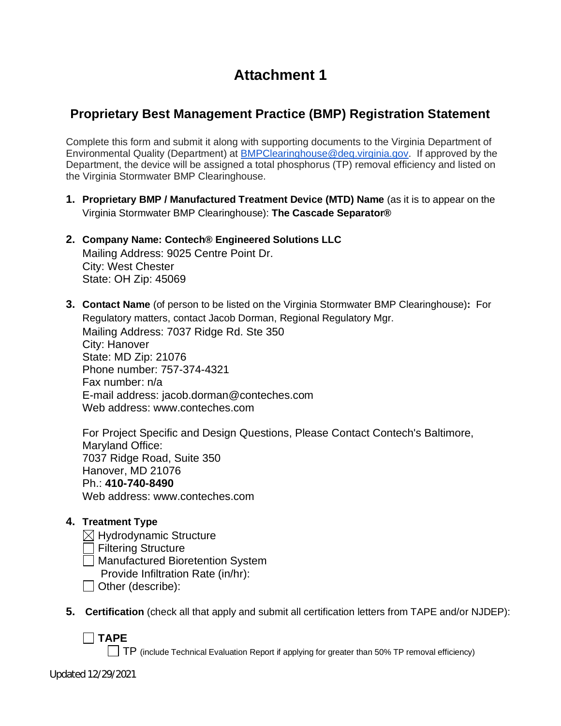# **Attachment 1**

## **Proprietary Best Management Practice (BMP) Registration Statement**

Complete this form and submit it along with supporting documents to the Virginia Department of Environmental Quality (Department) at BMPClearinghouse@deq.virginia.gov. If approved by the Department, the device will be assigned a total phosphorus (TP) removal efficiency and listed on the Virginia Stormwater BMP Clearinghouse.

- **1. Proprietary BMP / Manufactured Treatment Device (MTD) Name** (as it is to appear on the Virginia Stormwater BMP Clearinghouse): **The Cascade Separator®**
- **2. Company Name: Contech® Engineered Solutions LLC** Mailing Address: 9025 Centre Point Dr. City: West Chester State: OH Zip: 45069
- **3. Contact Name** (of person to be listed on the Virginia Stormwater BMP Clearinghouse)**:** For Regulatory matters, contact Jacob Dorman, Regional Regulatory Mgr. Mailing Address: 7037 Ridge Rd. Ste 350 City: Hanover State: MD Zip: 21076 Phone number: 757-374-4321 Fax number: n/a E-mail address: jacob.dorman@conteches.com Web address: www.conteches.com

For Project Specific and Design Questions, Please Contact Contech's Baltimore, Maryland Office: 7037 Ridge Road, Suite 350 Hanover, MD 21076 Ph.: **410-740-8490** Web address: www.conteches.com

#### **4. Treatment Type**

- $\boxtimes$  Hydrodynamic Structure
- **Filtering Structure**
- Manufactured Bioretention System
	- Provide Infiltration Rate (in/hr):
- $\Box$  Other (describe):
- **5. Certification** (check all that apply and submit all certification letters from TAPE and/or NJDEP):

**TAPE**

 $\Box$  TP (include Technical Evaluation Report if applying for greater than 50% TP removal efficiency)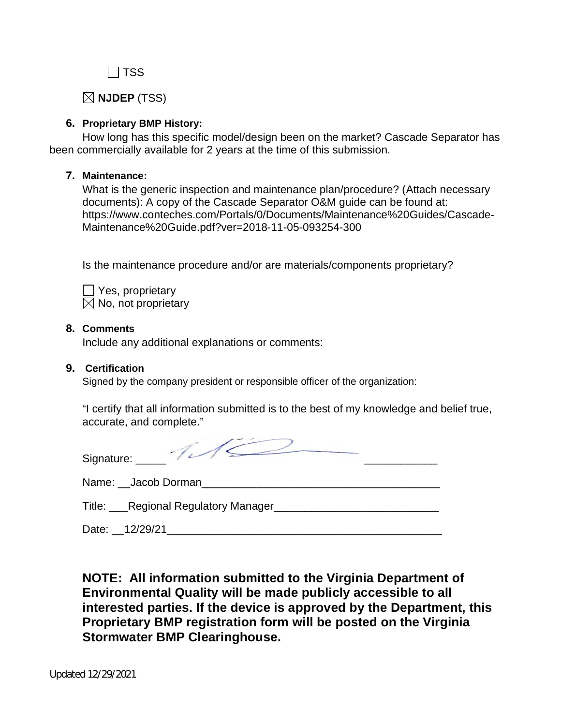$\Box$  TSS

**NJDEP** (TSS)

### **6. Proprietary BMP History:**

How long has this specific model/design been on the market? Cascade Separator has been commercially available for 2 years at the time of this submission.

#### **7. Maintenance:**

What is the generic inspection and maintenance plan/procedure? (Attach necessary documents): A copy of the Cascade Separator O&M guide can be found at: https://www.conteches.com/Portals/0/Documents/Maintenance%20Guides/Cascade-Maintenance%20Guide.pdf?ver=2018-11-05-093254-300

Is the maintenance procedure and/or are materials/components proprietary?

 $\Box$  Yes, proprietary  $\boxtimes$  No, not proprietary

#### **8. Comments**

Include any additional explanations or comments:

#### **9. Certification**

Signed by the company president or responsible officer of the organization:

 "I certify that all information submitted is to the best of my knowledge and belief true, accurate, and complete."

| Signature: ______                  |
|------------------------------------|
| Name: __ Jacob Dorman              |
| Title: Regional Regulatory Manager |
| Date: 12/29/21                     |

**NOTE: All information submitted to the Virginia Department of Environmental Quality will be made publicly accessible to all interested parties. If the device is approved by the Department, this Proprietary BMP registration form will be posted on the Virginia Stormwater BMP Clearinghouse.**